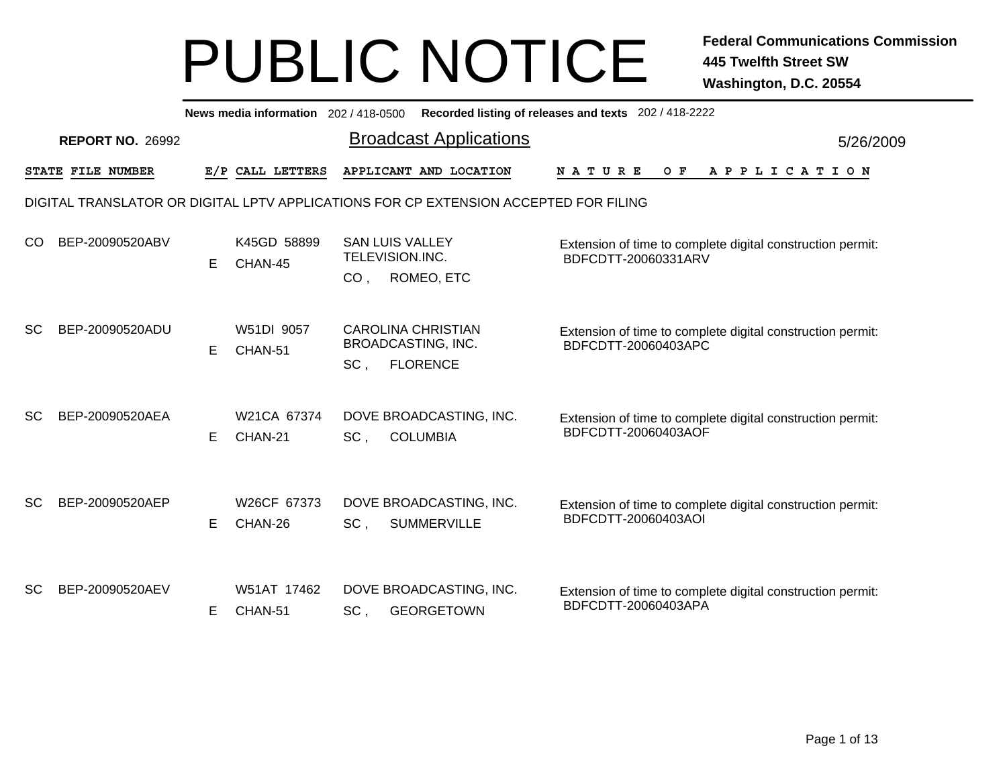|           | News media information 202 / 418-0500 Recorded listing of releases and texts 202 / 418-2222 |   |                        |                 |                                                                                      |                                                                                   |           |  |  |  |  |  |  |  |
|-----------|---------------------------------------------------------------------------------------------|---|------------------------|-----------------|--------------------------------------------------------------------------------------|-----------------------------------------------------------------------------------|-----------|--|--|--|--|--|--|--|
|           | <b>REPORT NO. 26992</b>                                                                     |   |                        |                 | <b>Broadcast Applications</b>                                                        |                                                                                   | 5/26/2009 |  |  |  |  |  |  |  |
|           | STATE FILE NUMBER                                                                           |   | E/P CALL LETTERS       |                 | APPLICANT AND LOCATION                                                               | O F<br>A P P L I C A T I O N<br>N A T U R E                                       |           |  |  |  |  |  |  |  |
|           |                                                                                             |   |                        |                 | DIGITAL TRANSLATOR OR DIGITAL LPTV APPLICATIONS FOR CP EXTENSION ACCEPTED FOR FILING |                                                                                   |           |  |  |  |  |  |  |  |
| CO.       | BEP-20090520ABV                                                                             | E | K45GD 58899<br>CHAN-45 | CO <sub>1</sub> | <b>SAN LUIS VALLEY</b><br>TELEVISION.INC.<br>ROMEO, ETC                              | Extension of time to complete digital construction permit:<br>BDFCDTT-20060331ARV |           |  |  |  |  |  |  |  |
| <b>SC</b> | BEP-20090520ADU                                                                             | Е | W51DI 9057<br>CHAN-51  | SC,             | <b>CAROLINA CHRISTIAN</b><br><b>BROADCASTING, INC.</b><br><b>FLORENCE</b>            | Extension of time to complete digital construction permit:<br>BDFCDTT-20060403APC |           |  |  |  |  |  |  |  |
| <b>SC</b> | BEP-20090520AEA                                                                             | Е | W21CA 67374<br>CHAN-21 | SC,             | DOVE BROADCASTING, INC.<br><b>COLUMBIA</b>                                           | Extension of time to complete digital construction permit:<br>BDFCDTT-20060403AOF |           |  |  |  |  |  |  |  |
| <b>SC</b> | BEP-20090520AEP                                                                             | Е | W26CF 67373<br>CHAN-26 | SC,             | DOVE BROADCASTING, INC.<br><b>SUMMERVILLE</b>                                        | Extension of time to complete digital construction permit:<br>BDFCDTT-20060403AOI |           |  |  |  |  |  |  |  |
| <b>SC</b> | BEP-20090520AEV                                                                             | Е | W51AT 17462<br>CHAN-51 | SC.             | DOVE BROADCASTING, INC.<br><b>GEORGETOWN</b>                                         | Extension of time to complete digital construction permit:<br>BDFCDTT-20060403APA |           |  |  |  |  |  |  |  |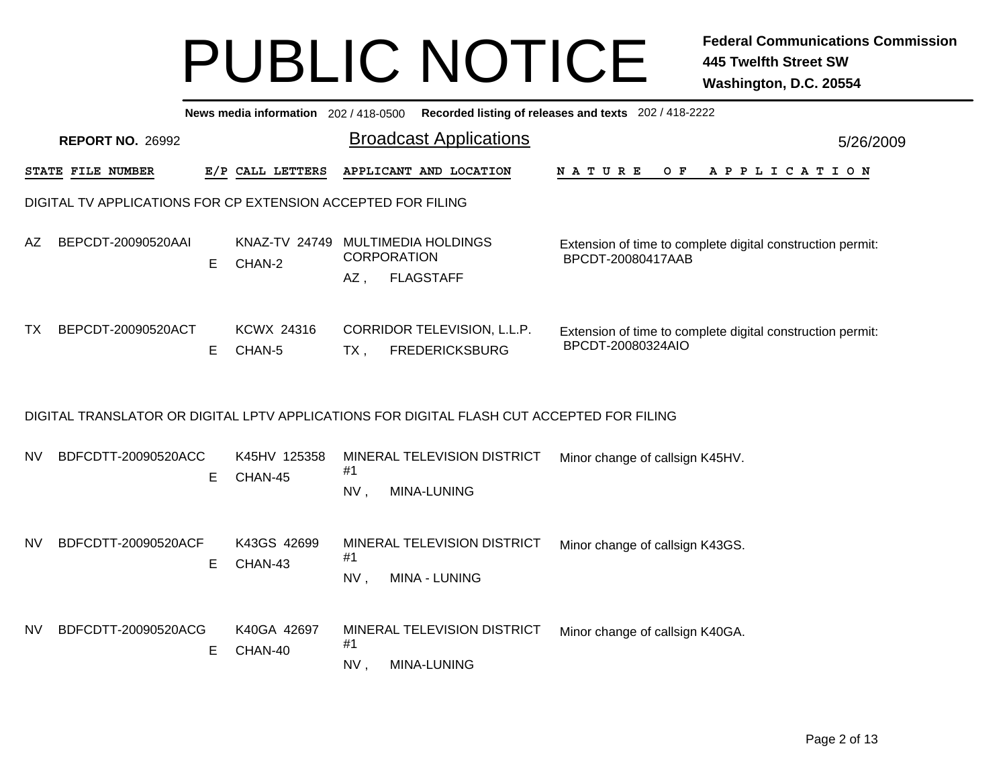|           | News media information 202 / 418-0500<br>Recorded listing of releases and texts 202 / 418-2222 |    |                             |           |                                                                                           |  |                                 |  |  |  |       |  |  |  |  |             |  |                                                            |  |
|-----------|------------------------------------------------------------------------------------------------|----|-----------------------------|-----------|-------------------------------------------------------------------------------------------|--|---------------------------------|--|--|--|-------|--|--|--|--|-------------|--|------------------------------------------------------------|--|
|           | <b>REPORT NO. 26992</b>                                                                        |    |                             |           | <b>Broadcast Applications</b>                                                             |  |                                 |  |  |  |       |  |  |  |  |             |  | 5/26/2009                                                  |  |
|           | STATE FILE NUMBER                                                                              |    | E/P CALL LETTERS            |           | APPLICANT AND LOCATION                                                                    |  | NATURE                          |  |  |  | $O$ F |  |  |  |  | APPLICATION |  |                                                            |  |
|           | DIGITAL TV APPLICATIONS FOR CP EXTENSION ACCEPTED FOR FILING                                   |    |                             |           |                                                                                           |  |                                 |  |  |  |       |  |  |  |  |             |  |                                                            |  |
| AZ.       | BEPCDT-20090520AAI                                                                             | E  | KNAZ-TV 24749<br>CHAN-2     | $AZ$ ,    | <b>MULTIMEDIA HOLDINGS</b><br><b>CORPORATION</b><br><b>FLAGSTAFF</b>                      |  | BPCDT-20080417AAB               |  |  |  |       |  |  |  |  |             |  | Extension of time to complete digital construction permit: |  |
| ТX        | BEPCDT-20090520ACT                                                                             | E  | <b>KCWX 24316</b><br>CHAN-5 | $TX$ ,    | CORRIDOR TELEVISION, L.L.P.<br><b>FREDERICKSBURG</b>                                      |  | BPCDT-20080324AIO               |  |  |  |       |  |  |  |  |             |  | Extension of time to complete digital construction permit: |  |
|           |                                                                                                |    |                             |           | DIGITAL TRANSLATOR OR DIGITAL LPTV APPLICATIONS FOR DIGITAL FLASH CUT ACCEPTED FOR FILING |  |                                 |  |  |  |       |  |  |  |  |             |  |                                                            |  |
| NV.       | BDFCDTT-20090520ACC                                                                            | Е  | K45HV 125358<br>CHAN-45     | #1<br>NV, | MINERAL TELEVISION DISTRICT<br>MINA-LUNING                                                |  | Minor change of callsign K45HV. |  |  |  |       |  |  |  |  |             |  |                                                            |  |
| NV        | BDFCDTT-20090520ACF                                                                            | Е  | K43GS 42699<br>CHAN-43      | #1<br>NV, | MINERAL TELEVISION DISTRICT<br>MINA - LUNING                                              |  | Minor change of callsign K43GS. |  |  |  |       |  |  |  |  |             |  |                                                            |  |
| <b>NV</b> | BDFCDTT-20090520ACG                                                                            | E. | K40GA 42697<br>CHAN-40      | #1<br>NV, | MINERAL TELEVISION DISTRICT<br>MINA-LUNING                                                |  | Minor change of callsign K40GA. |  |  |  |       |  |  |  |  |             |  |                                                            |  |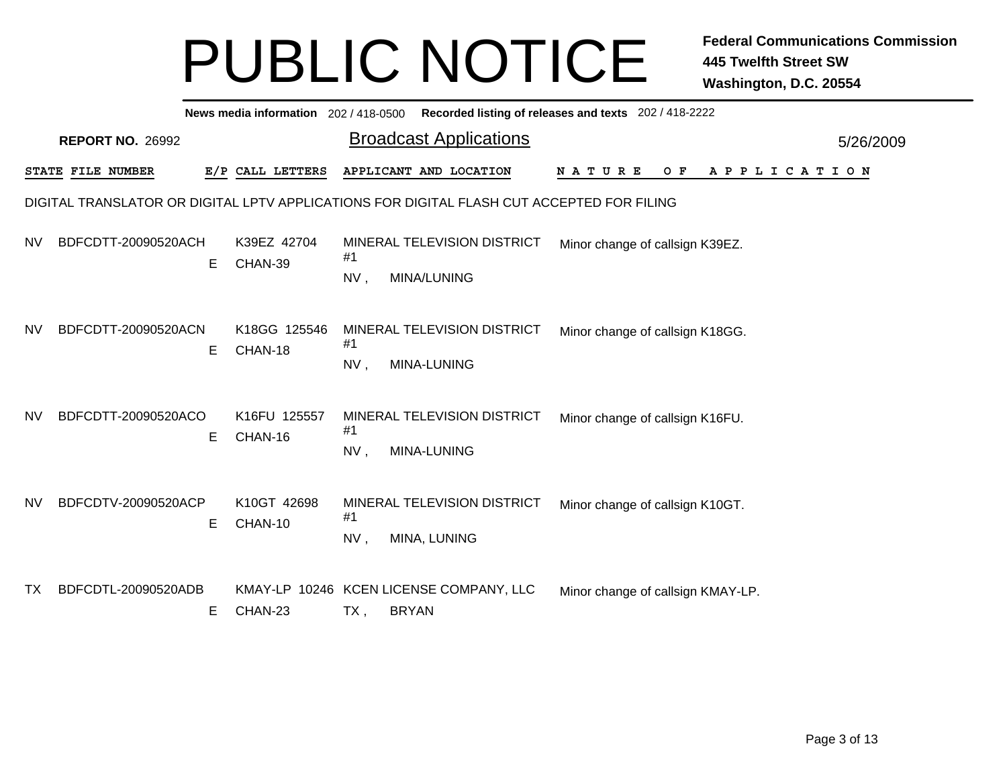|           | News media information 202 / 418-0500 Recorded listing of releases and texts 202 / 418-2222 |   |                         |           |                                                                                           |             |                                   |     |  |  |  |                       |           |  |
|-----------|---------------------------------------------------------------------------------------------|---|-------------------------|-----------|-------------------------------------------------------------------------------------------|-------------|-----------------------------------|-----|--|--|--|-----------------------|-----------|--|
|           | <b>REPORT NO. 26992</b>                                                                     |   |                         |           | <b>Broadcast Applications</b>                                                             |             |                                   |     |  |  |  |                       | 5/26/2009 |  |
|           | STATE FILE NUMBER                                                                           |   | E/P CALL LETTERS        |           | APPLICANT AND LOCATION                                                                    | N A T U R E |                                   | O F |  |  |  | A P P L I C A T I O N |           |  |
|           |                                                                                             |   |                         |           | DIGITAL TRANSLATOR OR DIGITAL LPTV APPLICATIONS FOR DIGITAL FLASH CUT ACCEPTED FOR FILING |             |                                   |     |  |  |  |                       |           |  |
| <b>NV</b> | BDFCDTT-20090520ACH                                                                         | Е | K39EZ 42704<br>CHAN-39  | #1<br>NV, | MINERAL TELEVISION DISTRICT<br>MINA/LUNING                                                |             | Minor change of callsign K39EZ.   |     |  |  |  |                       |           |  |
| <b>NV</b> | BDFCDTT-20090520ACN                                                                         | Е | K18GG 125546<br>CHAN-18 | #1<br>NV, | MINERAL TELEVISION DISTRICT<br>MINA-LUNING                                                |             | Minor change of callsign K18GG.   |     |  |  |  |                       |           |  |
| <b>NV</b> | BDFCDTT-20090520ACO                                                                         | Е | K16FU 125557<br>CHAN-16 | #1<br>NV, | MINERAL TELEVISION DISTRICT<br>MINA-LUNING                                                |             | Minor change of callsign K16FU.   |     |  |  |  |                       |           |  |
| <b>NV</b> | BDFCDTV-20090520ACP                                                                         | Е | K10GT 42698<br>CHAN-10  | #1<br>NV, | MINERAL TELEVISION DISTRICT<br>MINA, LUNING                                               |             | Minor change of callsign K10GT.   |     |  |  |  |                       |           |  |
| TX        | BDFCDTL-20090520ADB                                                                         | Е | CHAN-23                 | TX,       | KMAY-LP 10246 KCEN LICENSE COMPANY, LLC<br><b>BRYAN</b>                                   |             | Minor change of callsign KMAY-LP. |     |  |  |  |                       |           |  |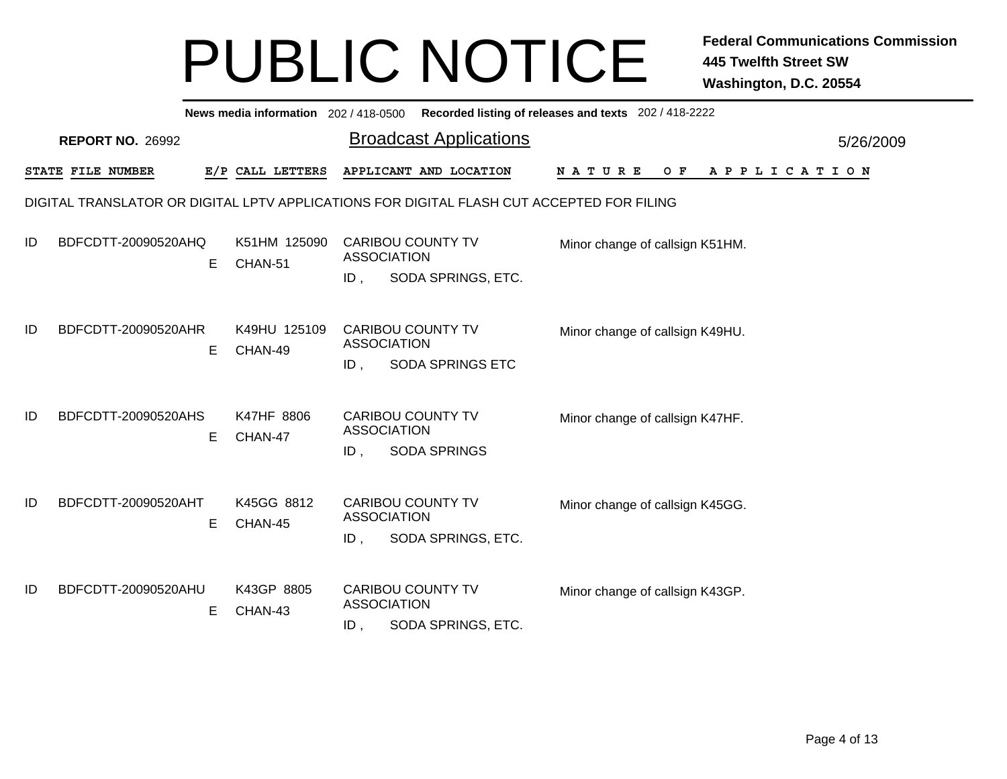|    | News media information 202/418-0500 Recorded listing of releases and texts 202/418-2222   |    |                         |                              |  |                                                     |                                 |  |  |  |  |     |  |             |  |  |  |           |  |
|----|-------------------------------------------------------------------------------------------|----|-------------------------|------------------------------|--|-----------------------------------------------------|---------------------------------|--|--|--|--|-----|--|-------------|--|--|--|-----------|--|
|    | <b>REPORT NO. 26992</b>                                                                   |    |                         |                              |  | <b>Broadcast Applications</b>                       |                                 |  |  |  |  |     |  |             |  |  |  | 5/26/2009 |  |
|    | STATE FILE NUMBER                                                                         |    | E/P CALL LETTERS        |                              |  | APPLICANT AND LOCATION                              | <b>NATURE</b>                   |  |  |  |  | O F |  | APPLICATION |  |  |  |           |  |
|    | DIGITAL TRANSLATOR OR DIGITAL LPTV APPLICATIONS FOR DIGITAL FLASH CUT ACCEPTED FOR FILING |    |                         |                              |  |                                                     |                                 |  |  |  |  |     |  |             |  |  |  |           |  |
| ID | BDFCDTT-20090520AHQ                                                                       | E. | K51HM 125090<br>CHAN-51 | <b>ASSOCIATION</b><br>$ID$ . |  | <b>CARIBOU COUNTY TV</b><br>SODA SPRINGS, ETC.      | Minor change of callsign K51HM. |  |  |  |  |     |  |             |  |  |  |           |  |
| ID | BDFCDTT-20090520AHR                                                                       | Е  | K49HU 125109<br>CHAN-49 | <b>ASSOCIATION</b><br>$ID$ , |  | <b>CARIBOU COUNTY TV</b><br><b>SODA SPRINGS ETC</b> | Minor change of callsign K49HU. |  |  |  |  |     |  |             |  |  |  |           |  |
| ID | BDFCDTT-20090520AHS                                                                       | E  | K47HF 8806<br>CHAN-47   | <b>ASSOCIATION</b><br>ID,    |  | <b>CARIBOU COUNTY TV</b><br><b>SODA SPRINGS</b>     | Minor change of callsign K47HF. |  |  |  |  |     |  |             |  |  |  |           |  |
| ID | BDFCDTT-20090520AHT                                                                       | E. | K45GG 8812<br>CHAN-45   | <b>ASSOCIATION</b><br>$ID$ , |  | <b>CARIBOU COUNTY TV</b><br>SODA SPRINGS, ETC.      | Minor change of callsign K45GG. |  |  |  |  |     |  |             |  |  |  |           |  |
| ID | BDFCDTT-20090520AHU                                                                       | E  | K43GP 8805<br>CHAN-43   | <b>ASSOCIATION</b><br>ID,    |  | <b>CARIBOU COUNTY TV</b><br>SODA SPRINGS, ETC.      | Minor change of callsign K43GP. |  |  |  |  |     |  |             |  |  |  |           |  |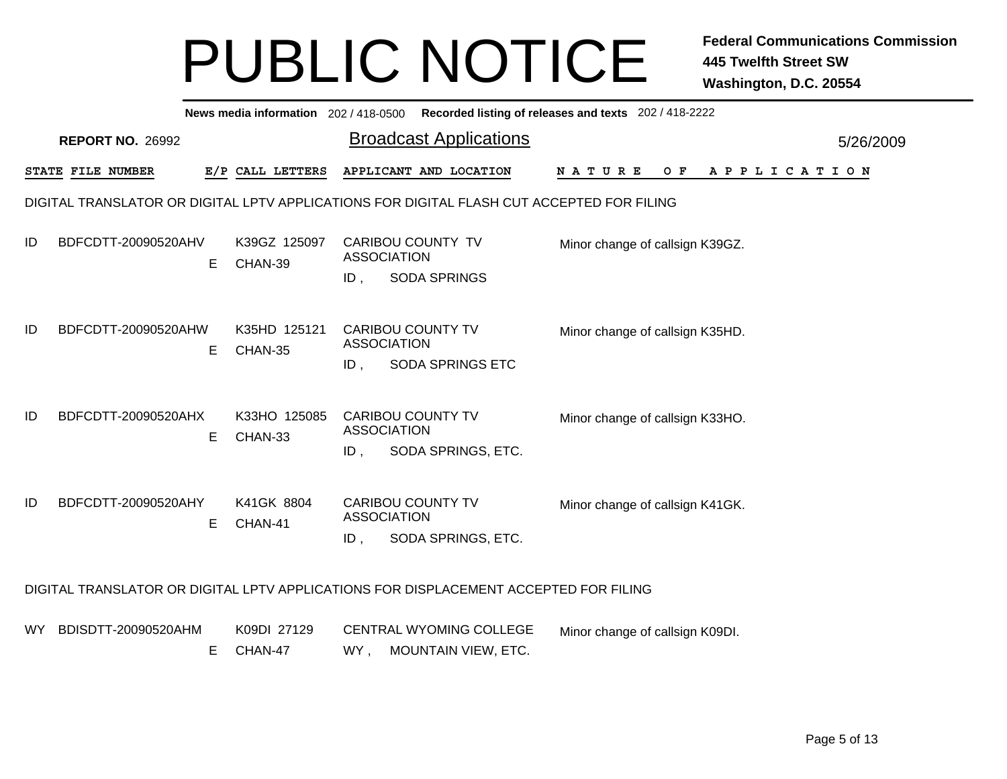|      | News media information 202/418-0500 Recorded listing of releases and texts 202/418-2222 |   |                         |        |                                                                                           |                                               |           |  |  |  |  |  |  |
|------|-----------------------------------------------------------------------------------------|---|-------------------------|--------|-------------------------------------------------------------------------------------------|-----------------------------------------------|-----------|--|--|--|--|--|--|
|      | <b>REPORT NO. 26992</b>                                                                 |   |                         |        | <b>Broadcast Applications</b>                                                             |                                               | 5/26/2009 |  |  |  |  |  |  |
|      | STATE FILE NUMBER                                                                       |   | E/P CALL LETTERS        |        | APPLICANT AND LOCATION                                                                    | <b>NATURE</b><br>O F<br>A P P L I C A T I O N |           |  |  |  |  |  |  |
|      |                                                                                         |   |                         |        | DIGITAL TRANSLATOR OR DIGITAL LPTV APPLICATIONS FOR DIGITAL FLASH CUT ACCEPTED FOR FILING |                                               |           |  |  |  |  |  |  |
| ID   | BDFCDTT-20090520AHV                                                                     | Е | K39GZ 125097<br>CHAN-39 | ID.    | CARIBOU COUNTY TV<br><b>ASSOCIATION</b><br><b>SODA SPRINGS</b>                            | Minor change of callsign K39GZ.               |           |  |  |  |  |  |  |
| ID   | BDFCDTT-20090520AHW                                                                     | Е | K35HD 125121<br>CHAN-35 | ID,    | <b>CARIBOU COUNTY TV</b><br><b>ASSOCIATION</b><br><b>SODA SPRINGS ETC</b>                 | Minor change of callsign K35HD.               |           |  |  |  |  |  |  |
| ID   | BDFCDTT-20090520AHX                                                                     | Е | K33HO 125085<br>CHAN-33 | $ID$ , | CARIBOU COUNTY TV<br><b>ASSOCIATION</b><br>SODA SPRINGS, ETC.                             | Minor change of callsign K33HO.               |           |  |  |  |  |  |  |
| ID   | BDFCDTT-20090520AHY                                                                     | E | K41GK 8804<br>CHAN-41   | ID.    | <b>CARIBOU COUNTY TV</b><br><b>ASSOCIATION</b><br>SODA SPRINGS, ETC.                      | Minor change of callsign K41GK.               |           |  |  |  |  |  |  |
|      |                                                                                         |   |                         |        | DIGITAL TRANSLATOR OR DIGITAL LPTV APPLICATIONS FOR DISPLACEMENT ACCEPTED FOR FILING      |                                               |           |  |  |  |  |  |  |
| WY . | BDISDTT-20090520AHM                                                                     |   | K09DI 27129             |        | <b>CENTRAL WYOMING COLLEGE</b>                                                            | Minor change of callsign K09DI.               |           |  |  |  |  |  |  |

WY , MOUNTAIN VIEW, ETC. E CHAN-47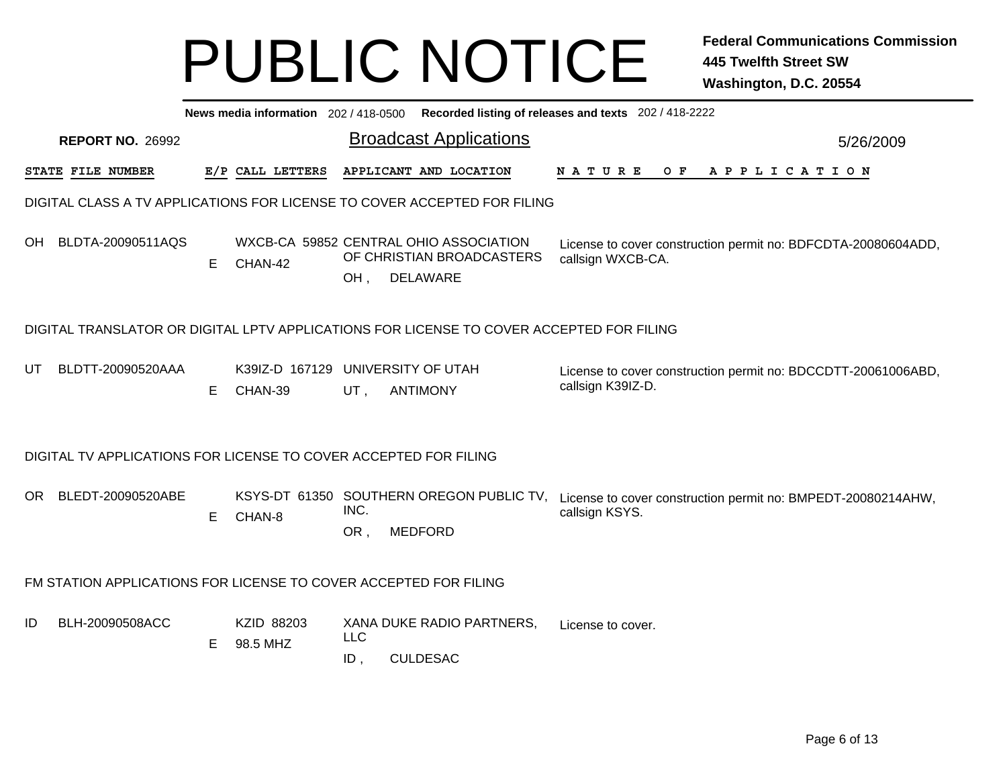|     | News media information 202 / 418-0500 Recorded listing of releases and texts 202 / 418-2222 |    |                                              |                      |                                                                                        |                                                                                    |           |  |  |  |  |  |  |
|-----|---------------------------------------------------------------------------------------------|----|----------------------------------------------|----------------------|----------------------------------------------------------------------------------------|------------------------------------------------------------------------------------|-----------|--|--|--|--|--|--|
|     | <b>REPORT NO. 26992</b>                                                                     |    |                                              |                      | <b>Broadcast Applications</b>                                                          |                                                                                    | 5/26/2009 |  |  |  |  |  |  |
|     | STATE FILE NUMBER                                                                           |    | E/P CALL LETTERS                             |                      | APPLICANT AND LOCATION                                                                 | <b>NATURE</b><br>$O$ $F$<br>A P P L I C A T I O N                                  |           |  |  |  |  |  |  |
|     | DIGITAL CLASS A TV APPLICATIONS FOR LICENSE TO COVER ACCEPTED FOR FILING                    |    |                                              |                      |                                                                                        |                                                                                    |           |  |  |  |  |  |  |
| OH. | BLDTA-20090511AQS                                                                           | E  | CHAN-42                                      | OH,                  | WXCB-CA 59852 CENTRAL OHIO ASSOCIATION<br>OF CHRISTIAN BROADCASTERS<br><b>DELAWARE</b> | License to cover construction permit no: BDFCDTA-20080604ADD,<br>callsign WXCB-CA. |           |  |  |  |  |  |  |
|     | DIGITAL TRANSLATOR OR DIGITAL LPTV APPLICATIONS FOR LICENSE TO COVER ACCEPTED FOR FILING    |    |                                              |                      |                                                                                        |                                                                                    |           |  |  |  |  |  |  |
| UT. | BLDTT-20090520AAA                                                                           | E. | K39IZ-D 167129 UNIVERSITY OF UTAH<br>CHAN-39 | UT,                  | <b>ANTIMONY</b>                                                                        | License to cover construction permit no: BDCCDTT-20061006ABD,<br>callsign K39IZ-D. |           |  |  |  |  |  |  |
|     | DIGITAL TV APPLICATIONS FOR LICENSE TO COVER ACCEPTED FOR FILING                            |    |                                              |                      |                                                                                        |                                                                                    |           |  |  |  |  |  |  |
| OR  | BLEDT-20090520ABE                                                                           | E. | CHAN-8                                       | INC.<br>OR,          | KSYS-DT 61350 SOUTHERN OREGON PUBLIC TV,<br><b>MEDFORD</b>                             | License to cover construction permit no: BMPEDT-20080214AHW,<br>callsign KSYS.     |           |  |  |  |  |  |  |
|     | FM STATION APPLICATIONS FOR LICENSE TO COVER ACCEPTED FOR FILING                            |    |                                              |                      |                                                                                        |                                                                                    |           |  |  |  |  |  |  |
| ID  | BLH-20090508ACC                                                                             | Е  | KZID 88203<br>98.5 MHZ                       | <b>LLC</b><br>$ID$ , | XANA DUKE RADIO PARTNERS,<br><b>CULDESAC</b>                                           | License to cover.                                                                  |           |  |  |  |  |  |  |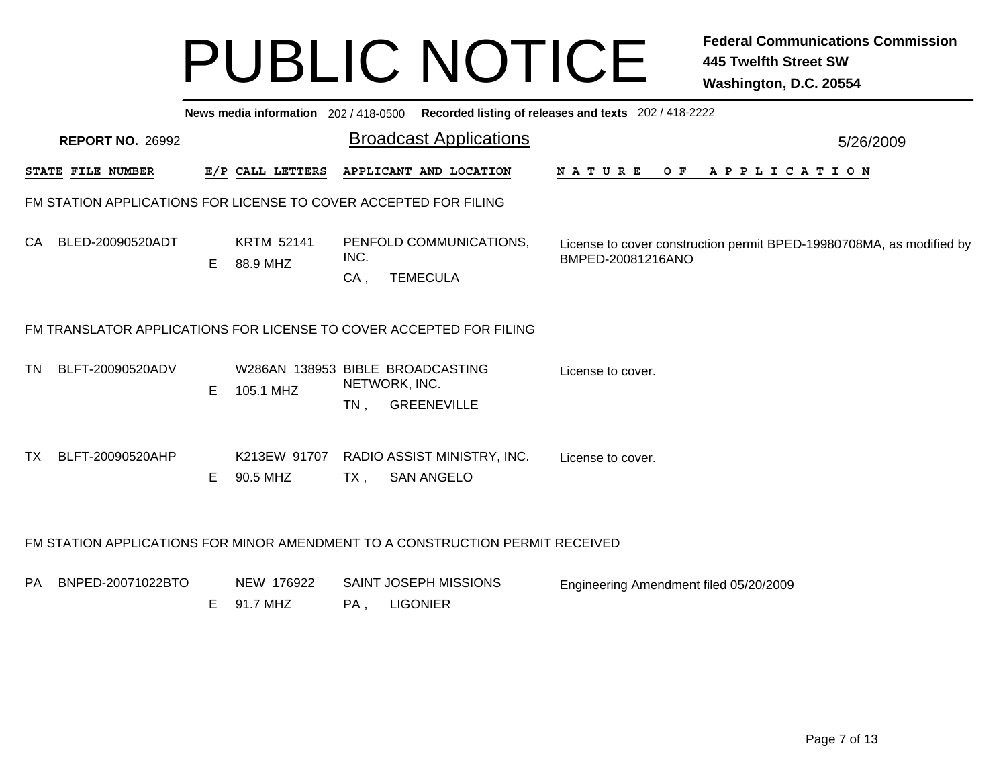|      | News media information 202 / 418-0500 Recorded listing of releases and texts 202 / 418-2222 |    |                                               |                         |                                                                               |                                                                                           |           |  |  |  |  |  |  |
|------|---------------------------------------------------------------------------------------------|----|-----------------------------------------------|-------------------------|-------------------------------------------------------------------------------|-------------------------------------------------------------------------------------------|-----------|--|--|--|--|--|--|
|      | <b>REPORT NO. 26992</b>                                                                     |    |                                               |                         | <b>Broadcast Applications</b>                                                 |                                                                                           | 5/26/2009 |  |  |  |  |  |  |
|      | STATE FILE NUMBER                                                                           |    | E/P CALL LETTERS                              |                         | APPLICANT AND LOCATION                                                        | <b>NATURE</b><br>OF APPLICATION                                                           |           |  |  |  |  |  |  |
|      | FM STATION APPLICATIONS FOR LICENSE TO COVER ACCEPTED FOR FILING                            |    |                                               |                         |                                                                               |                                                                                           |           |  |  |  |  |  |  |
| CA   | BLED-20090520ADT                                                                            | Е  | <b>KRTM 52141</b><br>88.9 MHZ                 | INC.<br>$CA$ ,          | PENFOLD COMMUNICATIONS,<br><b>TEMECULA</b>                                    | License to cover construction permit BPED-19980708MA, as modified by<br>BMPED-20081216ANO |           |  |  |  |  |  |  |
|      | FM TRANSLATOR APPLICATIONS FOR LICENSE TO COVER ACCEPTED FOR FILING                         |    |                                               |                         |                                                                               |                                                                                           |           |  |  |  |  |  |  |
| TN   | BLFT-20090520ADV                                                                            | E. | W286AN 138953 BIBLE BROADCASTING<br>105.1 MHZ | NETWORK, INC.<br>$TN$ . | <b>GREENEVILLE</b>                                                            | License to cover.                                                                         |           |  |  |  |  |  |  |
| TX I | BLFT-20090520AHP                                                                            | E. | K213EW 91707<br>90.5 MHZ                      | $TX$ ,                  | RADIO ASSIST MINISTRY, INC.<br><b>SAN ANGELO</b>                              | License to cover.                                                                         |           |  |  |  |  |  |  |
|      |                                                                                             |    |                                               |                         | FM STATION APPLICATIONS FOR MINOR AMENDMENT TO A CONSTRUCTION PERMIT RECEIVED |                                                                                           |           |  |  |  |  |  |  |
| PA   | BNPED-20071022BTO                                                                           | Е  | NEW 176922<br>91.7 MHZ                        | PA,                     | SAINT JOSEPH MISSIONS<br><b>LIGONIER</b>                                      | Engineering Amendment filed 05/20/2009                                                    |           |  |  |  |  |  |  |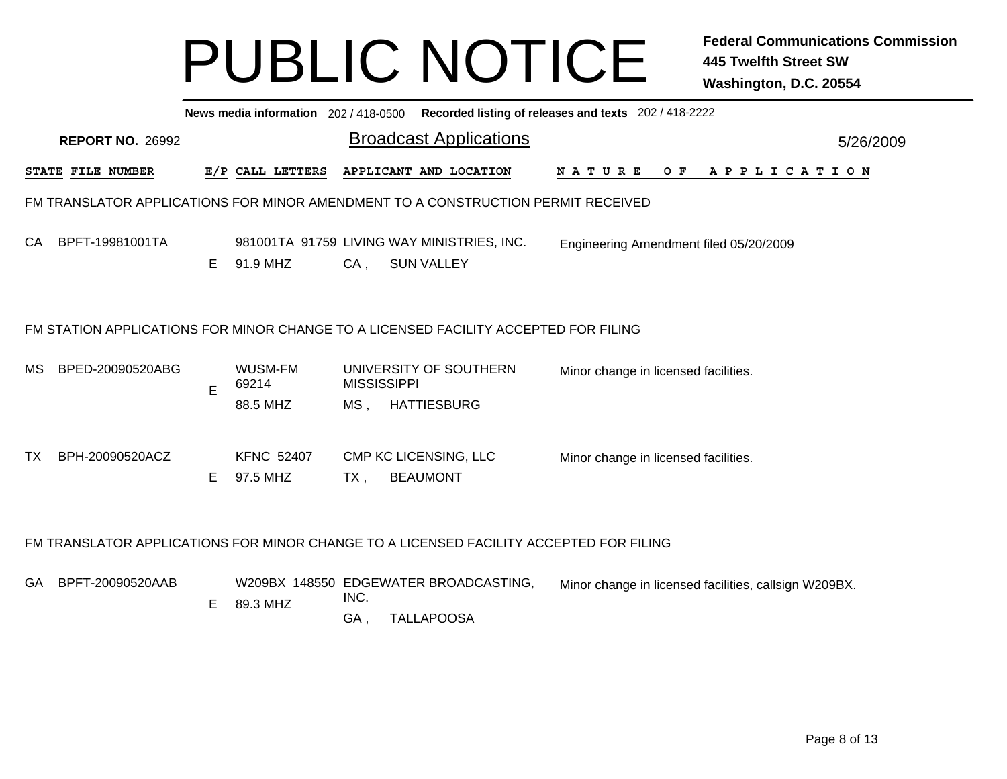|           | News media information 202 / 418-0500 Recorded listing of releases and texts 202 / 418-2222 |    |                               |                    |                                                                                        |                                               |           |  |  |  |  |  |  |  |
|-----------|---------------------------------------------------------------------------------------------|----|-------------------------------|--------------------|----------------------------------------------------------------------------------------|-----------------------------------------------|-----------|--|--|--|--|--|--|--|
|           | <b>REPORT NO. 26992</b>                                                                     |    |                               |                    | <b>Broadcast Applications</b>                                                          |                                               | 5/26/2009 |  |  |  |  |  |  |  |
|           | STATE FILE NUMBER                                                                           |    | E/P CALL LETTERS              |                    | APPLICANT AND LOCATION                                                                 | <b>NATURE</b><br>O F<br>A P P L I C A T I O N |           |  |  |  |  |  |  |  |
|           | FM TRANSLATOR APPLICATIONS FOR MINOR AMENDMENT TO A CONSTRUCTION PERMIT RECEIVED            |    |                               |                    |                                                                                        |                                               |           |  |  |  |  |  |  |  |
| CA        | BPFT-19981001TA                                                                             | E. | 91.9 MHZ                      | $CA$ ,             | 981001TA 91759 LIVING WAY MINISTRIES, INC.<br><b>SUN VALLEY</b>                        | Engineering Amendment filed 05/20/2009        |           |  |  |  |  |  |  |  |
|           |                                                                                             |    |                               |                    | FM STATION APPLICATIONS FOR MINOR CHANGE TO A LICENSED FACILITY ACCEPTED FOR FILING    |                                               |           |  |  |  |  |  |  |  |
| MS        | BPED-20090520ABG                                                                            | E  | WUSM-FM<br>69214              | <b>MISSISSIPPI</b> | UNIVERSITY OF SOUTHERN                                                                 | Minor change in licensed facilities.          |           |  |  |  |  |  |  |  |
|           |                                                                                             |    | 88.5 MHZ                      | MS,                | <b>HATTIESBURG</b>                                                                     |                                               |           |  |  |  |  |  |  |  |
| <b>TX</b> | BPH-20090520ACZ                                                                             | E. | <b>KFNC 52407</b><br>97.5 MHZ | $TX$ ,             | CMP KC LICENSING, LLC<br><b>BEAUMONT</b>                                               | Minor change in licensed facilities.          |           |  |  |  |  |  |  |  |
|           |                                                                                             |    |                               |                    | FM TRANSLATOR APPLICATIONS FOR MINOR CHANGE TO A LICENSED FACILITY ACCEPTED FOR FILING |                                               |           |  |  |  |  |  |  |  |

GA BPFT-20090520AAB

W209BX 148550 EDGEWATER BROADCASTING, Minor change in licensed facilities, callsign W209BX.

INC. E 89.3 MHZ

> GA, , TALLAPOOSA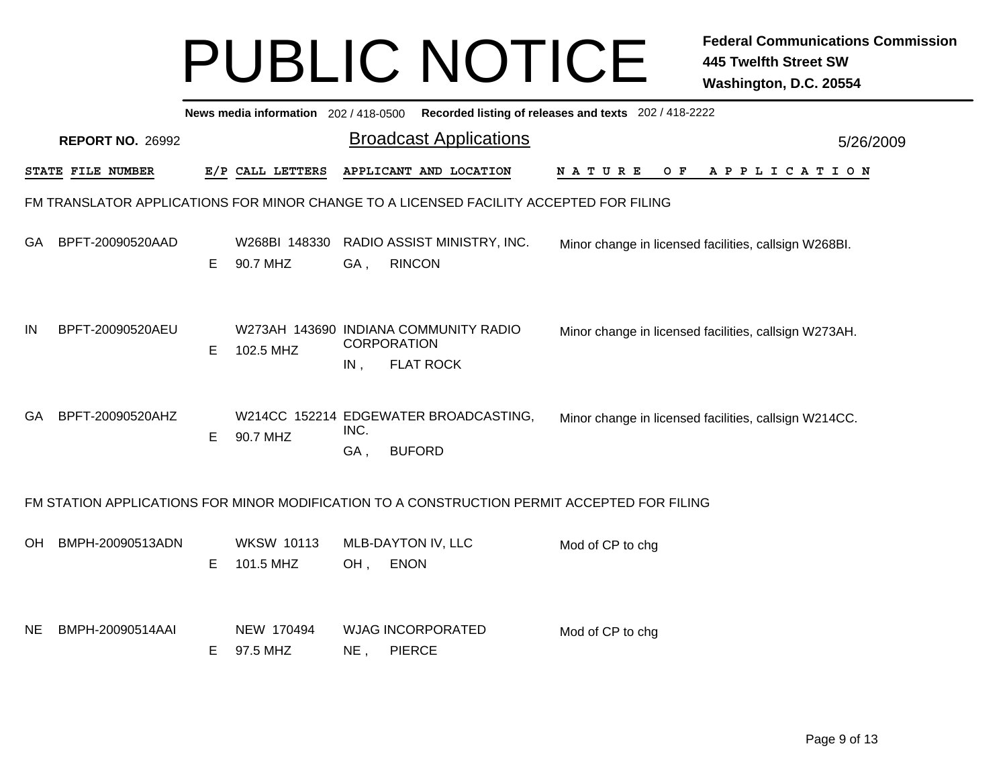|           | News media information 202 / 418-0500<br>Recorded listing of releases and texts 202 / 418-2222 |    |                                |             |                                                                                             |                                                       |           |  |  |  |  |  |  |  |
|-----------|------------------------------------------------------------------------------------------------|----|--------------------------------|-------------|---------------------------------------------------------------------------------------------|-------------------------------------------------------|-----------|--|--|--|--|--|--|--|
|           | <b>REPORT NO. 26992</b>                                                                        |    |                                |             | <b>Broadcast Applications</b>                                                               |                                                       | 5/26/2009 |  |  |  |  |  |  |  |
|           | STATE FILE NUMBER                                                                              |    | E/P CALL LETTERS               |             | APPLICANT AND LOCATION                                                                      | N A T U R E<br>O F<br>APPLICATION                     |           |  |  |  |  |  |  |  |
|           |                                                                                                |    |                                |             | FM TRANSLATOR APPLICATIONS FOR MINOR CHANGE TO A LICENSED FACILITY ACCEPTED FOR FILING      |                                                       |           |  |  |  |  |  |  |  |
| GA        | BPFT-20090520AAD                                                                               | E  | W268BI 148330<br>90.7 MHZ      | GA,         | RADIO ASSIST MINISTRY, INC.<br><b>RINCON</b>                                                | Minor change in licensed facilities, callsign W268BI. |           |  |  |  |  |  |  |  |
| IN        | BPFT-20090520AEU                                                                               | E  | 102.5 MHZ                      | IN,         | W273AH 143690 INDIANA COMMUNITY RADIO<br><b>CORPORATION</b><br><b>FLAT ROCK</b>             | Minor change in licensed facilities, callsign W273AH. |           |  |  |  |  |  |  |  |
| GA.       | BPFT-20090520AHZ                                                                               | E. | 90.7 MHZ                       | INC.<br>GA, | W214CC 152214 EDGEWATER BROADCASTING,<br><b>BUFORD</b>                                      | Minor change in licensed facilities, callsign W214CC. |           |  |  |  |  |  |  |  |
|           |                                                                                                |    |                                |             | FM STATION APPLICATIONS FOR MINOR MODIFICATION TO A CONSTRUCTION PERMIT ACCEPTED FOR FILING |                                                       |           |  |  |  |  |  |  |  |
| OН        | BMPH-20090513ADN                                                                               | E  | <b>WKSW 10113</b><br>101.5 MHZ | OH,         | MLB-DAYTON IV, LLC<br><b>ENON</b>                                                           | Mod of CP to chg                                      |           |  |  |  |  |  |  |  |
| <b>NE</b> | BMPH-20090514AAI                                                                               | Е  | NEW 170494<br>97.5 MHZ         | NE,         | <b>WJAG INCORPORATED</b><br><b>PIERCE</b>                                                   | Mod of CP to chg                                      |           |  |  |  |  |  |  |  |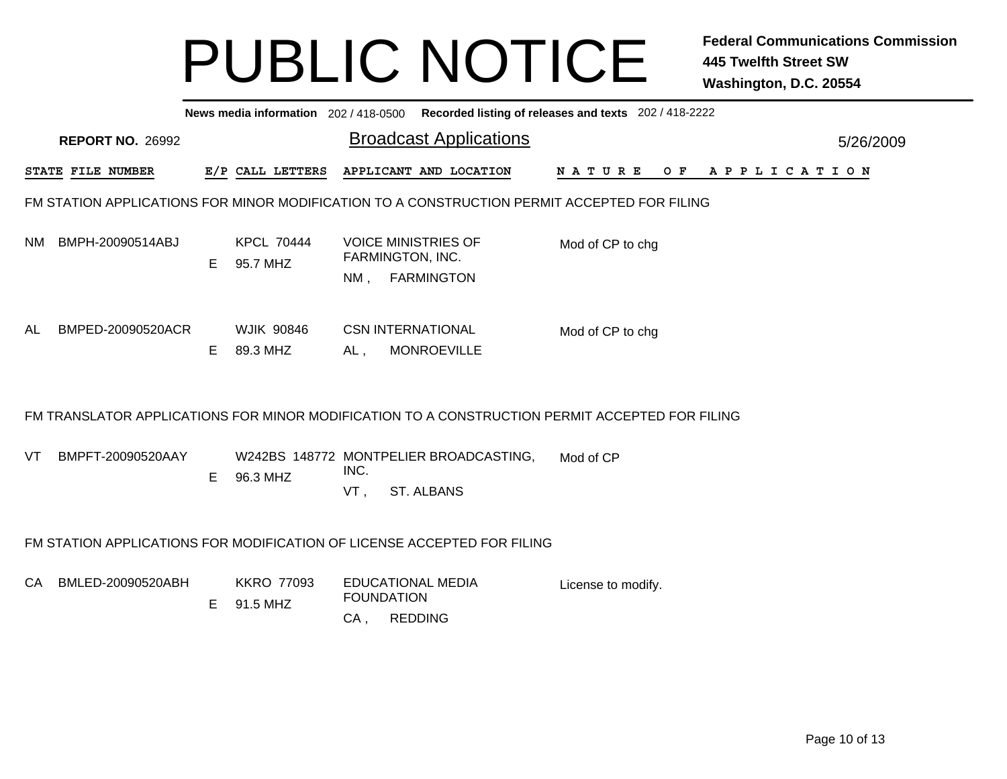| News media information 202/418-0500 Recorded listing of releases and texts 202/418-2222 |                                                                                             |    |                               |             |                                                                     |                                                                                                |           |  |  |  |  |  |  |  |
|-----------------------------------------------------------------------------------------|---------------------------------------------------------------------------------------------|----|-------------------------------|-------------|---------------------------------------------------------------------|------------------------------------------------------------------------------------------------|-----------|--|--|--|--|--|--|--|
|                                                                                         | <b>REPORT NO. 26992</b>                                                                     |    |                               |             | <b>Broadcast Applications</b>                                       |                                                                                                | 5/26/2009 |  |  |  |  |  |  |  |
|                                                                                         | STATE FILE NUMBER                                                                           |    | E/P CALL LETTERS              |             | APPLICANT AND LOCATION                                              | O F<br>APPLICATION<br><b>NATURE</b>                                                            |           |  |  |  |  |  |  |  |
|                                                                                         | FM STATION APPLICATIONS FOR MINOR MODIFICATION TO A CONSTRUCTION PERMIT ACCEPTED FOR FILING |    |                               |             |                                                                     |                                                                                                |           |  |  |  |  |  |  |  |
| NM.                                                                                     | BMPH-20090514ABJ                                                                            | E. | <b>KPCL 70444</b><br>95.7 MHZ | NM.         | <b>VOICE MINISTRIES OF</b><br>FARMINGTON, INC.<br><b>FARMINGTON</b> | Mod of CP to chg                                                                               |           |  |  |  |  |  |  |  |
| AL                                                                                      | BMPED-20090520ACR                                                                           | E. | <b>WJIK 90846</b><br>89.3 MHZ | AL,         | <b>CSN INTERNATIONAL</b><br><b>MONROEVILLE</b>                      | Mod of CP to chg                                                                               |           |  |  |  |  |  |  |  |
|                                                                                         |                                                                                             |    |                               |             |                                                                     | FM TRANSLATOR APPLICATIONS FOR MINOR MODIFICATION TO A CONSTRUCTION PERMIT ACCEPTED FOR FILING |           |  |  |  |  |  |  |  |
| VT                                                                                      | BMPFT-20090520AAY                                                                           | E. | 96.3 MHZ                      | INC.<br>VT. | W242BS 148772 MONTPELIER BROADCASTING,<br><b>ST. ALBANS</b>         | Mod of CP                                                                                      |           |  |  |  |  |  |  |  |
|                                                                                         | FM STATION APPLICATIONS FOR MODIFICATION OF LICENSE ACCEPTED FOR FILING                     |    |                               |             |                                                                     |                                                                                                |           |  |  |  |  |  |  |  |
|                                                                                         | CA BMLED-20090520ABH                                                                        |    | <b>KKRO 77093</b>             |             | <b>EDUCATIONAL MEDIA</b>                                            | License to modify.                                                                             |           |  |  |  |  |  |  |  |

FOUNDATION

E 91.5 MHZ

CA , REDDING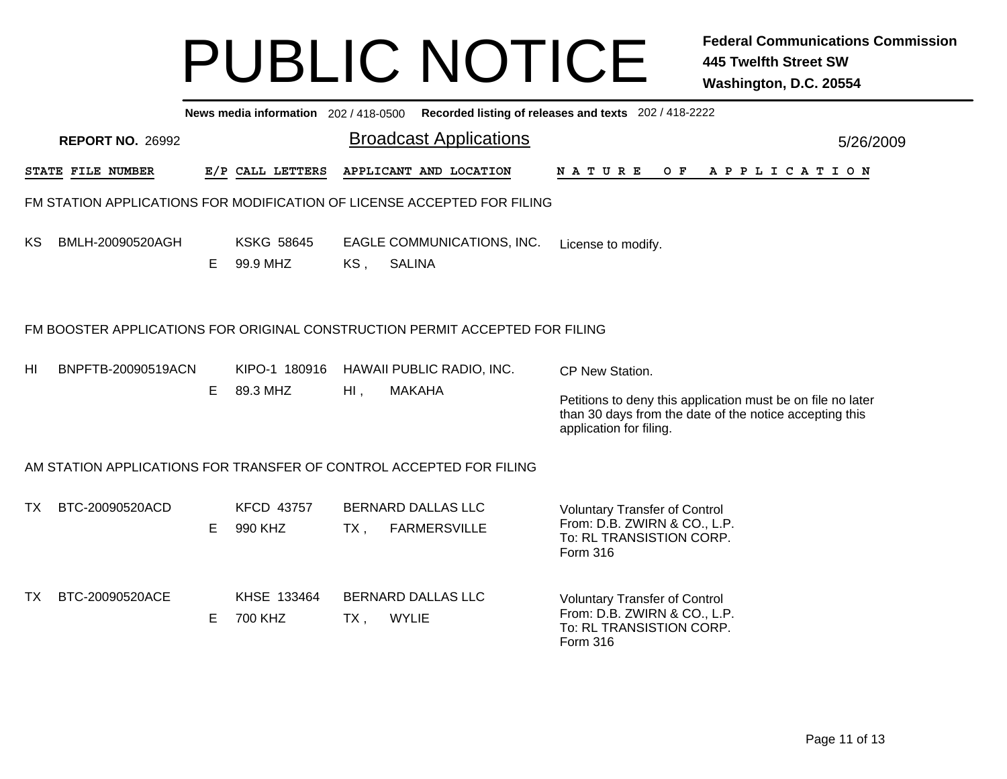|                         |                          |                               |                              |                     |                                                                                                                                                                                                                                                                      |                                                                         | News media information 202/418-0500 Recorded listing of releases and texts 202/418-2222              |                                  |                                               |  |                                                                                                                                                                      |                              |  |  |                                                                                                                                                       |
|-------------------------|--------------------------|-------------------------------|------------------------------|---------------------|----------------------------------------------------------------------------------------------------------------------------------------------------------------------------------------------------------------------------------------------------------------------|-------------------------------------------------------------------------|------------------------------------------------------------------------------------------------------|----------------------------------|-----------------------------------------------|--|----------------------------------------------------------------------------------------------------------------------------------------------------------------------|------------------------------|--|--|-------------------------------------------------------------------------------------------------------------------------------------------------------|
| <b>REPORT NO. 26992</b> |                          |                               |                              |                     |                                                                                                                                                                                                                                                                      |                                                                         |                                                                                                      |                                  |                                               |  |                                                                                                                                                                      |                              |  |  |                                                                                                                                                       |
|                         |                          |                               |                              |                     |                                                                                                                                                                                                                                                                      |                                                                         |                                                                                                      |                                  |                                               |  |                                                                                                                                                                      |                              |  |  |                                                                                                                                                       |
|                         |                          |                               |                              |                     |                                                                                                                                                                                                                                                                      |                                                                         |                                                                                                      |                                  |                                               |  |                                                                                                                                                                      |                              |  |  |                                                                                                                                                       |
| BMLH-20090520AGH        | E.                       | <b>KSKG 58645</b><br>99.9 MHZ | KS,                          | <b>SALINA</b>       |                                                                                                                                                                                                                                                                      |                                                                         |                                                                                                      |                                  |                                               |  |                                                                                                                                                                      |                              |  |  |                                                                                                                                                       |
|                         |                          |                               |                              |                     |                                                                                                                                                                                                                                                                      |                                                                         |                                                                                                      |                                  |                                               |  |                                                                                                                                                                      |                              |  |  |                                                                                                                                                       |
| BNPFTB-20090519ACN      |                          | KIPO-1 180916                 |                              |                     |                                                                                                                                                                                                                                                                      |                                                                         |                                                                                                      |                                  |                                               |  |                                                                                                                                                                      |                              |  |  |                                                                                                                                                       |
|                         |                          |                               |                              |                     |                                                                                                                                                                                                                                                                      |                                                                         |                                                                                                      |                                  |                                               |  |                                                                                                                                                                      |                              |  |  |                                                                                                                                                       |
|                         |                          |                               |                              |                     |                                                                                                                                                                                                                                                                      |                                                                         |                                                                                                      |                                  |                                               |  |                                                                                                                                                                      |                              |  |  |                                                                                                                                                       |
| BTC-20090520ACD         |                          | <b>KFCD 43757</b>             |                              |                     |                                                                                                                                                                                                                                                                      |                                                                         |                                                                                                      |                                  |                                               |  |                                                                                                                                                                      |                              |  |  |                                                                                                                                                       |
|                         | Е                        | 990 KHZ                       | $TX$ ,                       | <b>FARMERSVILLE</b> |                                                                                                                                                                                                                                                                      |                                                                         |                                                                                                      |                                  |                                               |  |                                                                                                                                                                      |                              |  |  |                                                                                                                                                       |
| BTC-20090520ACE         |                          | KHSE 133464                   |                              |                     |                                                                                                                                                                                                                                                                      |                                                                         |                                                                                                      |                                  |                                               |  |                                                                                                                                                                      |                              |  |  |                                                                                                                                                       |
|                         | Е                        | 700 KHZ                       | $TX$ ,                       | <b>WYLIE</b>        |                                                                                                                                                                                                                                                                      |                                                                         |                                                                                                      |                                  |                                               |  |                                                                                                                                                                      |                              |  |  |                                                                                                                                                       |
|                         | <b>STATE FILE NUMBER</b> | Е                             | E/P CALL LETTERS<br>89.3 MHZ | HI,                 | <b>Broadcast Applications</b><br>APPLICANT AND LOCATION<br>EAGLE COMMUNICATIONS, INC.<br>HAWAII PUBLIC RADIO, INC.<br><b>MAKAHA</b><br>AM STATION APPLICATIONS FOR TRANSFER OF CONTROL ACCEPTED FOR FILING<br><b>BERNARD DALLAS LLC</b><br><b>BERNARD DALLAS LLC</b> | FM STATION APPLICATIONS FOR MODIFICATION OF LICENSE ACCEPTED FOR FILING | FM BOOSTER APPLICATIONS FOR ORIGINAL CONSTRUCTION PERMIT ACCEPTED FOR FILING<br>Form 316<br>Form 316 | <b>NATURE</b><br>CP New Station. | License to modify.<br>application for filing. |  | <b>Voluntary Transfer of Control</b><br>From: D.B. ZWIRN & CO., L.P.<br>To: RL TRANSISTION CORP.<br><b>Voluntary Transfer of Control</b><br>To: RL TRANSISTION CORP. | From: D.B. ZWIRN & CO., L.P. |  |  | 5/26/2009<br>OF APPLICATION<br>Petitions to deny this application must be on file no later<br>than 30 days from the date of the notice accepting this |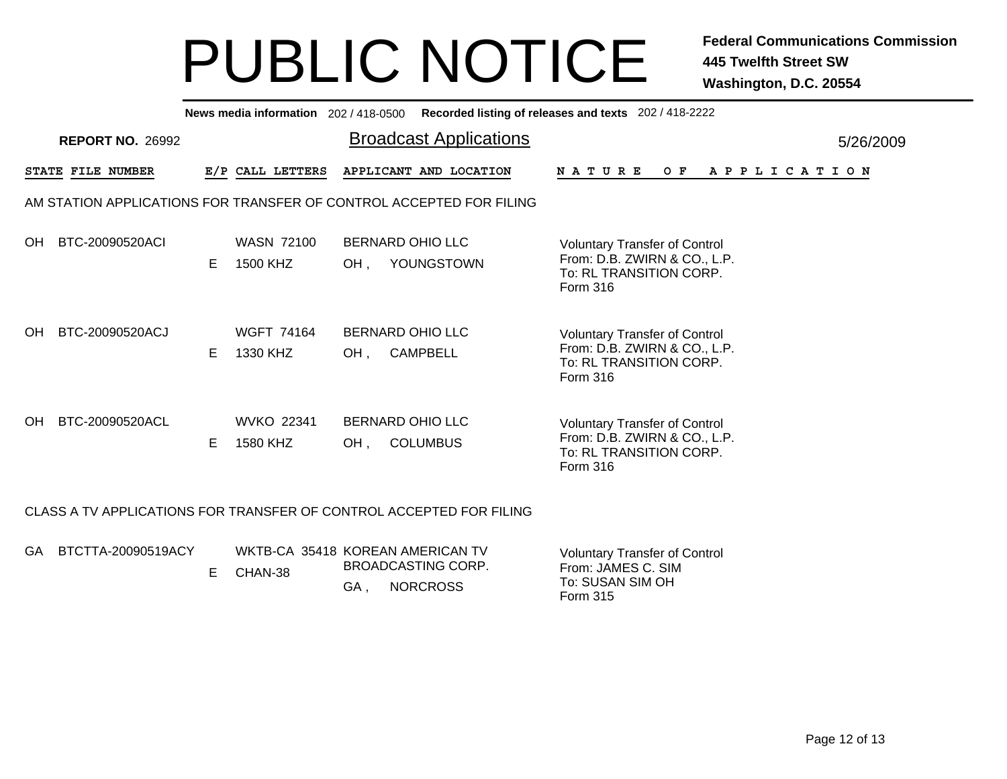|                                                                     |    |                                             |                                | News media information 202 / 418-0500 Recorded listing of releases and texts 202 / 418-2222 |                                                                                                             |  |                |  |  |  |           |
|---------------------------------------------------------------------|----|---------------------------------------------|--------------------------------|---------------------------------------------------------------------------------------------|-------------------------------------------------------------------------------------------------------------|--|----------------|--|--|--|-----------|
| <b>REPORT NO. 26992</b>                                             |    |                                             |                                | <b>Broadcast Applications</b>                                                               |                                                                                                             |  |                |  |  |  | 5/26/2009 |
| STATE FILE NUMBER                                                   |    | E/P CALL LETTERS                            |                                | APPLICANT AND LOCATION                                                                      | <b>NATURE</b>                                                                                               |  | OF APPLICATION |  |  |  |           |
| AM STATION APPLICATIONS FOR TRANSFER OF CONTROL ACCEPTED FOR FILING |    |                                             |                                |                                                                                             |                                                                                                             |  |                |  |  |  |           |
| BTC-20090520ACI<br>OH.                                              | E. | <b>WASN 72100</b><br>1500 KHZ               | <b>BERNARD OHIO LLC</b><br>OH, | YOUNGSTOWN                                                                                  | <b>Voluntary Transfer of Control</b><br>From: D.B. ZWIRN & CO., L.P.<br>To: RL TRANSITION CORP.<br>Form 316 |  |                |  |  |  |           |
| BTC-20090520ACJ<br>OH.                                              | E  | <b>WGFT 74164</b><br>1330 KHZ               | <b>BERNARD OHIO LLC</b><br>OH, | <b>CAMPBELL</b>                                                                             | <b>Voluntary Transfer of Control</b><br>From: D.B. ZWIRN & CO., L.P.<br>To: RL TRANSITION CORP.<br>Form 316 |  |                |  |  |  |           |
| BTC-20090520ACL<br>OH.                                              | E. | <b>WVKO 22341</b><br>1580 KHZ               | <b>BERNARD OHIO LLC</b><br>OH, | <b>COLUMBUS</b>                                                                             | <b>Voluntary Transfer of Control</b><br>From: D.B. ZWIRN & CO., L.P.<br>To: RL TRANSITION CORP.<br>Form 316 |  |                |  |  |  |           |
| CLASS A TV APPLICATIONS FOR TRANSFER OF CONTROL ACCEPTED FOR FILING |    |                                             |                                |                                                                                             |                                                                                                             |  |                |  |  |  |           |
| BTCTTA-20090519ACY<br>GA.                                           | E. | WKTB-CA 35418 KOREAN AMERICAN TV<br>CHAN-38 | GA,                            | <b>BROADCASTING CORP.</b><br><b>NORCROSS</b>                                                | <b>Voluntary Transfer of Control</b><br>From: JAMES C. SIM<br>To: SUSAN SIM OH                              |  |                |  |  |  |           |

Form 315